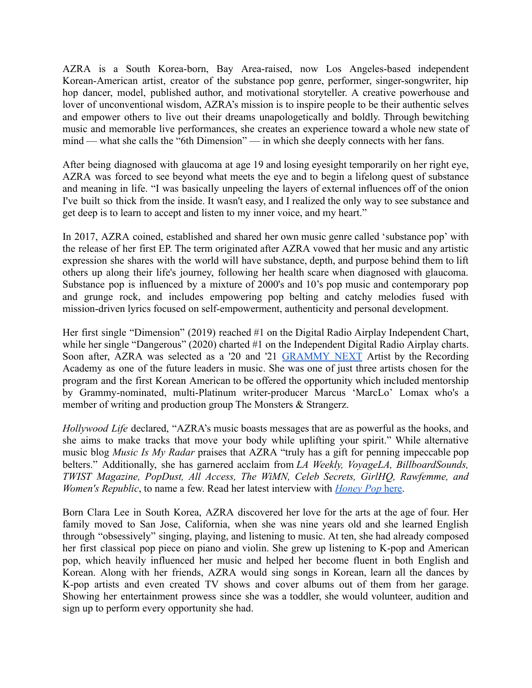AZRA is a South Korea-born, Bay Area-raised, now Los Angeles-based independent Korean-American artist, creator of the substance pop genre, performer, singer-songwriter, hip hop dancer, model, published author, and motivational storyteller. A creative powerhouse and lover of unconventional wisdom, AZRA's mission is to inspire people to be their authentic selves and empower others to live out their dreams unapologetically and boldly. Through bewitching music and memorable live performances, she creates an experience toward a whole new state of mind — what she calls the "6th Dimension" — in which she deeply connects with her fans.

After being diagnosed with glaucoma at age 19 and losing eyesight temporarily on her right eye, AZRA was forced to see beyond what meets the eye and to begin a lifelong quest of substance and meaning in life. "I was basically unpeeling the layers of external influences off of the onion I've built so thick from the inside. It wasn't easy, and I realized the only way to see substance and get deep is to learn to accept and listen to my inner voice, and my heart."

In 2017, AZRA coined, established and shared her own music genre called 'substance pop' with the release of her first EP. The term originated after AZRA vowed that her music and any artistic expression she shares with the world will have substance, depth, and purpose behind them to lift others up along their life's journey, following her health scare when diagnosed with glaucoma. Substance pop is influenced by a mixture of 2000's and 10's pop music and contemporary pop and grunge rock, and includes empowering pop belting and catchy melodies fused with mission-driven lyrics focused on self-empowerment, authenticity and personal development.

Her first single "Dimension" (2019) reached #1 on the Digital Radio Airplay Independent Chart, while her single "Dangerous" (2020) charted #1 on the Independent Digital Radio Airplay charts. Soon after, AZRA was selected as a '20 and '21 [GRAMMY](https://www.grammy.com/membership/news/recording-academy-los-angeles-chapter-next-2021-class-participants) NEXT Artist by the Recording Academy as one of the future leaders in music. She was one of just three artists chosen for the program and the first Korean American to be offered the opportunity which included mentorship by Grammy-nominated, multi-Platinum writer-producer Marcus 'MarcLo' Lomax who's a member of writing and production group The Monsters & Strangerz.

*Hollywood Life* declared, "AZRA's music boasts messages that are as powerful as the hooks, and she aims to make tracks that move your body while uplifting your spirit." While alternative music blog *Music Is My Radar* praises that AZRA "truly has a gift for penning impeccable pop belters." Additionally, she has garnered acclaim from *LA Weekly, VoyageLA, BillboardSounds, TWIST Magazine, PopDust, All Access, The WiMN, Celeb Secrets, GirlHQ, Rawfemme, and Women's Republic*, to name a few. Read her latest interview with *[Honey Pop](https://thehoneypop.com/2021/12/11/azra-and-beyond-creating-music-a-thp-exclusive/)* here.

Born Clara Lee in South Korea, AZRA discovered her love for the arts at the age of four. Her family moved to San Jose, California, when she was nine years old and she learned English through "obsessively" singing, playing, and listening to music. At ten, she had already composed her first classical pop piece on piano and violin. She grew up listening to K-pop and American pop, which heavily influenced her music and helped her become fluent in both English and Korean. Along with her friends, AZRA would sing songs in Korean, learn all the dances by K-pop artists and even created TV shows and cover albums out of them from her garage. Showing her entertainment prowess since she was a toddler, she would volunteer, audition and sign up to perform every opportunity she had.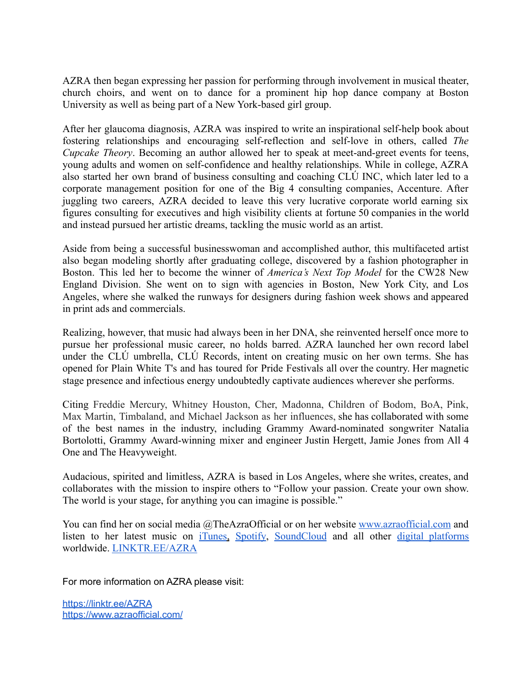AZRA then began expressing her passion for performing through involvement in musical theater, church choirs, and went on to dance for a prominent hip hop dance company at Boston University as well as being part of a New York-based girl group.

After her glaucoma diagnosis, AZRA was inspired to write an inspirational self-help book about fostering relationships and encouraging self-reflection and self-love in others, called *The Cupcake Theory*. Becoming an author allowed her to speak at meet-and-greet events for teens, young adults and women on self-confidence and healthy relationships. While in college, AZRA also started her own brand of business consulting and coaching CLÚ INC, which later led to a corporate management position for one of the Big 4 consulting companies, Accenture. After juggling two careers, AZRA decided to leave this very lucrative corporate world earning six figures consulting for executives and high visibility clients at fortune 50 companies in the world and instead pursued her artistic dreams, tackling the music world as an artist.

Aside from being a successful businesswoman and accomplished author, this multifaceted artist also began modeling shortly after graduating college, discovered by a fashion photographer in Boston. This led her to become the winner of *America's Next Top Model* for the CW28 New England Division. She went on to sign with agencies in Boston, New York City, and Los Angeles, where she walked the runways for designers during fashion week shows and appeared in print ads and commercials.

Realizing, however, that music had always been in her DNA, she reinvented herself once more to pursue her professional music career, no holds barred. AZRA launched her own record label under the CLÚ umbrella, CLÚ Records, intent on creating music on her own terms. She has opened for Plain White T's and has toured for Pride Festivals all over the country. Her magnetic stage presence and infectious energy undoubtedly captivate audiences wherever she performs.

Citing Freddie Mercury, Whitney Houston, Cher, Madonna, Children of Bodom, BoA, Pink, Max Martin, Timbaland, and Michael Jackson as her influences, she has collaborated with some of the best names in the industry, including Grammy Award-nominated songwriter Natalia Bortolotti, Grammy Award-winning mixer and engineer Justin Hergett, Jamie Jones from All 4 One and The Heavyweight.

Audacious, spirited and limitless, AZRA is based in Los Angeles, where she writes, creates, and collaborates with the mission to inspire others to "Follow your passion. Create your own show. The world is your stage, for anything you can imagine is possible."

You can find her on social media @TheAzraOfficial or on her website [www.azraofficial.com](http://www.azraofficial.com) and listen to her latest music on [iTunes](https://music.apple.com/us/artist/azra/1269774208), [Spotify](https://open.spotify.com/artist/3XKq7lfHF7vVhiTuPCMHwz?si=iCxR_kEYSGO42o01vLvvFw), [SoundCloud](https://soundcloud.com/theazraofficial) and all other digital [platforms](http://smarturl.it/AZRA) worldwide. [LINKTR.EE/AZRA](http://linktr.ee/AZRA)

For more information on AZRA please visit:

<https://linktr.ee/AZRA> <https://www.azraofficial.com/>